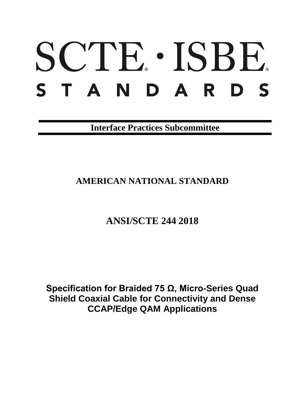# SCTE · ISBE. STANDARDS

**Interface Practices Subcommittee**

## **AMERICAN NATIONAL STANDARD**

# **ANSI/SCTE 244 2018**

**Specification for Braided 75 Ω, Micro-Series Quad Shield Coaxial Cable for Connectivity and Dense CCAP/Edge QAM Applications**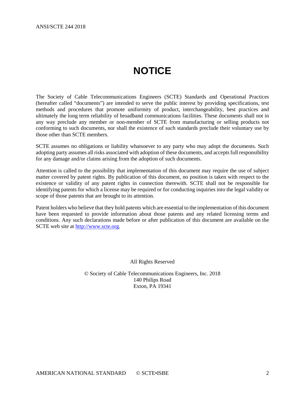# **NOTICE**

<span id="page-1-0"></span>The Society of Cable Telecommunications Engineers (SCTE) Standards and Operational Practices (hereafter called "documents") are intended to serve the public interest by providing specifications, test methods and procedures that promote uniformity of product, interchangeability, best practices and ultimately the long term reliability of broadband communications facilities. These documents shall not in any way preclude any member or non-member of SCTE from manufacturing or selling products not conforming to such documents, nor shall the existence of such standards preclude their voluntary use by those other than SCTE members.

SCTE assumes no obligations or liability whatsoever to any party who may adopt the documents. Such adopting party assumes all risks associated with adoption of these documents, and accepts full responsibility for any damage and/or claims arising from the adoption of such documents.

Attention is called to the possibility that implementation of this document may require the use of subject matter covered by patent rights. By publication of this document, no position is taken with respect to the existence or validity of any patent rights in connection therewith. SCTE shall not be responsible for identifying patents for which a license may be required or for conducting inquiries into the legal validity or scope of those patents that are brought to its attention.

Patent holders who believe that they hold patents which are essential to the implementation of this document have been requested to provide information about those patents and any related licensing terms and conditions. Any such declarations made before or after publication of this document are available on the SCTE web site at [http://www.scte.org.](http://www.scte.org/)

All Rights Reserved

© Society of Cable Telecommunications Engineers, Inc. 2018 140 Philips Road Exton, PA 19341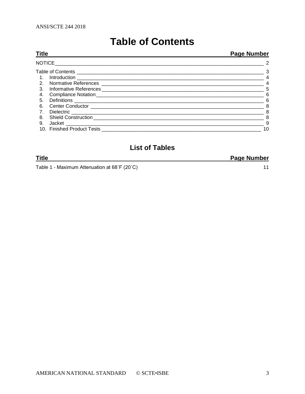# **Table of Contents**

<span id="page-2-0"></span>

| <b>Title</b> |  | <b>Page Number</b>         |
|--------------|--|----------------------------|
| NOTICE       |  | $\overline{2}$             |
|              |  | $\overline{\phantom{a}}$ 3 |
| 1.           |  | $\overline{4}$             |
|              |  | $\overline{4}$             |
| 3.           |  | 5                          |
| 4.           |  | 6                          |
| 5.           |  | -6                         |
| 6.           |  | -8                         |
| 7.           |  | 8                          |
| 8.           |  | -8                         |
| 9.           |  | - 9                        |
|              |  | 10                         |
|              |  |                            |

## **List of Tables**

| <b>Title</b> |  |  |   |  | <b>Page Number</b>                             |  |
|--------------|--|--|---|--|------------------------------------------------|--|
| _            |  |  | . |  | $\mathbf{r}$ and $\mathbf{r}$ and $\mathbf{r}$ |  |

Table 1 - Maximum Attenuation at 68°F (20°C)

 $11$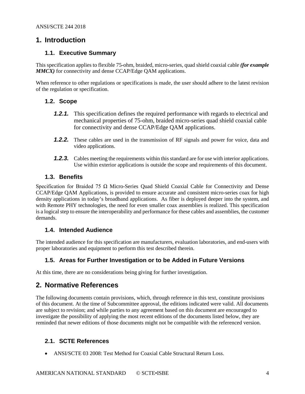## <span id="page-3-0"></span>**1. Introduction**

## **1.1. Executive Summary**

This specification applies to flexible 75-ohm, braided, micro-series, quad shield coaxial cable *(for example MMCX)* for connectivity and dense CCAP/Edge QAM applications.

When reference to other regulations or specifications is made, the user should adhere to the latest revision of the regulation or specification.

## **1.2. Scope**

- *1.2.1.* This specification defines the required performance with regards to electrical and mechanical properties of 75-ohm, braided micro-series quad shield coaxial cable for connectivity and dense CCAP/Edge QAM applications.
- *1.2.2.* These cables are used in the transmission of RF signals and power for voice, data and video applications.
- **1.2.3.** Cables meeting the requirements within this standard are for use with interior applications. Use within exterior applications is outside the scope and requirements of this document.

## **1.3. Benefits**

Specification for Braided 75 Ω Micro-Series Quad Shield Coaxial Cable for Connectivity and Dense CCAP/Edge QAM Applications, is provided to ensure accurate and consistent micro-series coax for high density applications in today's broadband applications. As fiber is deployed deeper into the system, and with Remote PHY technologies, the need for even smaller coax assemblies is realized. This specification is a logical step to ensure the interoperability and performance for these cables and assemblies, the customer demands.

## **1.4. Intended Audience**

The intended audience for this specification are manufacturers, evaluation laboratories, and end-users with proper laboratories and equipment to perform this test described therein.

## **1.5. Areas for Further Investigation or to be Added in Future Versions**

At this time, there are no considerations being giving for further investigation.

## <span id="page-3-1"></span>**2. Normative References**

The following documents contain provisions, which, through reference in this text, constitute provisions of this document. At the time of Subcommittee approval, the editions indicated were valid. All documents are subject to revision; and while parties to any agreement based on this document are encouraged to investigate the possibility of applying the most recent editions of the documents listed below, they are reminded that newer editions of those documents might not be compatible with the referenced version.

## **2.1. SCTE References**

• ANSI/SCTE 03 2008: Test Method for Coaxial Cable Structural Return Loss.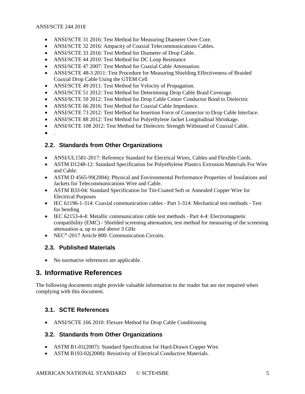- ANSI/SCTE 31 2016: Test Method for Measuring Diameter Over Core.
- ANSI/SCTE 32 2016: Ampacity of Coaxial Telecommunications Cables.
- ANSI/SCTE 33 2016: Test Method for Diameter of Drop Cable.
- ANSI/SCTE 44 2010: Test Method for DC Loop Resistance
- ANSI/SCTE 47 2007: Test Method for Coaxial Cable Attenuation.
- ANSI/SCTE 48-3 2011: Test Procedure for Measuring Shielding Effectiveness of Braided Coaxial Drop Cable Using the GTEM Cell
- ANSI/SCTE 49 2011: Test Method for Velocity of Propagation.
- ANSI/SCTE 51 2012: Test Method for Determining Drop Cable Braid Coverage.
- ANSI/SCTE 59 2012: Test Method for Drop Cable Center Conductor Bond to Dielectric
- ANSI/SCTE 66 2016: Test Method for Coaxial Cable Impedance.
- ANSI/SCTE 73 2012: Test Method for Insertion Force of Connector to Drop Cable Interface.
- ANSI/SCTE 88 2012: Test Method for Polyethylene Jacket Longitudinal Shrinkage.
- ANSI/SCTE 108 2012: Test Method for Dielectric Strength Withstand of Coaxial Cable.
- $\bullet$

## **2.2. Standards from Other Organizations**

- ANSI/UL1581-2017: Reference Standard for Electrical Wires, Cables and Flexible Cords.
- ASTM D1248-12: Standard Specification for Polyethylene Plastics Extrusion Materials For Wire and Cable.
- ASTM D 4565-99(2004): Physical and Environmental Performance Properties of Insulations and Jackets for Telecommunications Wire and Cable.
- ASTM B33-04: Standard Specification for Tin-Coated Soft or Annealed Copper Wire for Electrical Purposes
- IEC 61196-1-314: Coaxial communication cables Part 1-314: Mechanical test methods Test for bending
- IEC 62153-4-4: Metallic communication cable test methods Part 4-4: Electromagnetic compatibility (EMC) - Shielded screening attenuation, test method for measuring of the screening attenuation *a*<sup>s</sup> up to and above 3 GHz
- NEC<sup>®</sup>-2017 Article 800: Communication Circuits.

## **2.3. Published Materials**

• No normative references are applicable.

## <span id="page-4-0"></span>**3. Informative References**

The following documents might provide valuable information to the reader but are not required when complying with this document.

## **3.1. SCTE References**

• ANSI/SCTE 166 2010: Flexure Method for Drop Cable Conditioning

## **3.2. Standards from Other Organizations**

- ASTM B1-01(2007): Standard Specification for Hard-Drawn Copper Wire.
- ASTM B193-02(2008): Resistivity of Electrical Conductive Materials.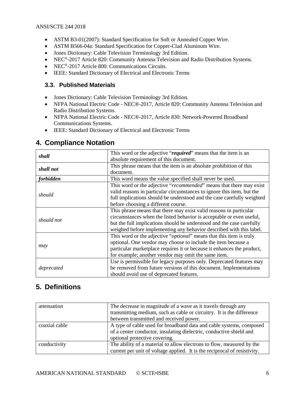- ASTM B3-01(2007): Standard Specification for Soft or Annealed Copper Wire.
- ASTM B566-04a: Standard Specification for Copper-Clad Aluminum Wire.
- Jones Dictionary: Cable Television Terminology 3rd Edition.
- NEC®-2017 Article 820: Community Antenna Television and Radio Distribution Systems.
- NEC®-2017 Article 800: Communications Circuits.
- IEEE: Standard Dictionary of Electrical and Electronic Terms

## **3.3. Published Materials**

- Jones Dictionary: Cable Television Terminology 3rd Edition.
- NFPA National Electric Code NEC®-2017, Article 820: Community Antenna Television and Radio Distribution Systems.
- NFPA National Electric Code NEC®-2017, Article 830: Network-Powered Broadband Communications Systems.
- IEEE: Standard Dictionary of Electrical and Electronic Terms

|                  | This word or the adjective "required" means that the item is an              |  |
|------------------|------------------------------------------------------------------------------|--|
| shall            | absolute requirement of this document.                                       |  |
| shall not        | This phrase means that the item is an absolute prohibition of this           |  |
|                  | document.                                                                    |  |
| <i>forbidden</i> | This word means the value specified shall never be used.                     |  |
|                  | This word or the adjective " <i>recommended</i> " means that there may exist |  |
| should           | valid reasons in particular circumstances to ignore this item, but the       |  |
|                  | full implications should be understood and the case carefully weighted       |  |
|                  | before choosing a different course.                                          |  |
|                  | This phrase means that there may exist valid reasons in particular           |  |
| should not       | circumstances when the listed behavior is acceptable or even useful,         |  |
|                  | but the full implications should be understood and the case carefully        |  |
|                  | weighed before implementing any behavior described with this label.          |  |
|                  | This word or the adjective " <i>optional</i> " means that this item is truly |  |
|                  | optional. One vendor may choose to include the item because a                |  |
| may              | particular marketplace requires it or because it enhances the product,       |  |
|                  | for example; another vendor may omit the same item.                          |  |
|                  | Use is permissible for legacy purposes only. Deprecated features may         |  |
| deprecated       | be removed from future versions of this document. Implementations            |  |
|                  | should avoid use of deprecated features.                                     |  |

## <span id="page-5-0"></span>**4. Compliance Notation**

## <span id="page-5-1"></span>**5. Definitions**

| attenuation   | The decrease in magnitude of a wave as it travels through any<br>transmitting medium, such as cable or circuitry. It is the difference<br>between transmitted and received power. |  |
|---------------|-----------------------------------------------------------------------------------------------------------------------------------------------------------------------------------|--|
| coaxial cable | A type of cable used for broadband data and cable systems, composed<br>of a center conductor, insulating dielectric, conductive shield and<br>optional protective covering.       |  |
| conductivity  | The ability of a material to allow electrons to flow, measured by the<br>current per unit of voltage applied. It is the reciprocal of resistivity.                                |  |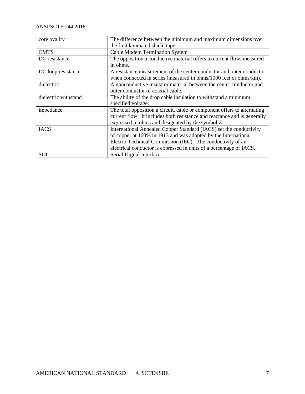## ANSI/SCTE 244 2018

| core ovality         | The difference between the minimum and maximum dimensions over           |  |
|----------------------|--------------------------------------------------------------------------|--|
|                      | the first laminated shield tape.                                         |  |
| <b>CMTS</b>          | <b>Cable Modem Termination System</b>                                    |  |
| DC resistance        | The opposition a conductive material offers to current flow, measured    |  |
|                      | in ohms.                                                                 |  |
| DC loop resistance   | A resistance measurement of the center conductor and outer conductor     |  |
|                      | when connected in series (measured in ohms/1000 feet or ohms/km).        |  |
| dielectric           | A nonconductive insulator material between the center conductor and      |  |
|                      | outer conductor of coaxial cable.                                        |  |
| dielectric withstand | The ability of the drop cable insulation to withstand a minimum          |  |
|                      | specified voltage.                                                       |  |
| impedance            | The total opposition a circuit, cable or component offers to alternating |  |
|                      | current flow. It includes both resistance and reactance and is generally |  |
|                      | expressed in ohms and designated by the symbol Z.                        |  |
| <b>IACS</b>          | International Annealed Copper Standard (IACS) set the conductivity       |  |
|                      | of copper at 100% in 1913 and was adopted by the International           |  |
|                      | Electro-Technical Commission (IEC). The conductivity of an               |  |
|                      | electrical conductor is expressed in units of a percentage of IACS.      |  |
| <b>SDI</b>           | Serial Digital Interface                                                 |  |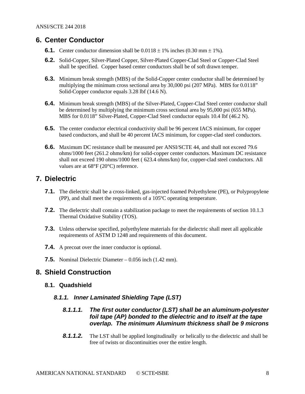## <span id="page-7-0"></span>**6. Center Conductor**

- **6.1.** Center conductor dimension shall be  $0.0118 \pm 1\%$  inches  $(0.30 \text{ mm} \pm 1\%)$ .
- **6.2.** Solid-Copper, Silver-Plated Copper, Silver-Plated Copper-Clad Steel or Copper-Clad Steel shall be specified. Copper based center conductors shall be of soft drawn temper.
- **6.3.** Minimum break strength (MBS) of the Solid-Copper center conductor shall be determined by multiplying the minimum cross sectional area by 30,000 psi (207 MPa). MBS for 0.0118" Solid-Copper conductor equals 3.28 lbf (14.6 N).
- **6.4.** Minimum break strength (MBS) of the Silver-Plated, Copper-Clad Steel center conductor shall be determined by multiplying the minimum cross sectional area by 95,000 psi (655 MPa). MBS for 0.0118" Silver-Plated, Copper-Clad Steel conductor equals 10.4 lbf (46.2 N).
- **6.5.** The center conductor electrical conductivity shall be 96 percent IACS minimum, for copper based conductors, and shall be 40 percent IACS minimum, for copper-clad steel conductors.
- **6.6.** Maximum DC resistance shall be measured per ANSI/SCTE 44, and shall not exceed 79.6 ohms/1000 feet (261.2 ohms/km) for solid-copper center conductors. Maximum DC resistance shall not exceed 190 ohms/1000 feet ( 623.4 ohms/km) for, copper-clad steel conductors. All values are at 68°F (20°C) reference.

## <span id="page-7-1"></span>**7. Dielectric**

- **7.1.** The dielectric shall be a cross-linked, gas-injected foamed Polyethylene (PE), or Polypropylene (PP), and shall meet the requirements of a 105ºC operating temperature.
- **7.2.** The dielectric shall contain a stabilization package to meet the requirements of section 10.1.3 Thermal Oxidative Stability (TOS).
- **7.3.** Unless otherwise specified, polyethylene materials for the dielectric shall meet all applicable requirements of ASTM D 1248 and requirements of this document.
- **7.4.** A precoat over the inner conductor is optional.
- **7.5.** Nominal Dielectric Diameter 0.056 inch (1.42 mm).

## <span id="page-7-2"></span>**8. Shield Construction**

#### **8.1. Quadshield**

#### *8.1.1. Inner Laminated Shielding Tape (LST)*

## *8.1.1.1. The first outer conductor (LST) shall be an aluminum-polyester foil tape (AP) bonded to the dielectric and to itself at the tape overlap. The minimum Aluminum thickness shall be 9 microns*

**8.1.1.2.** The LST shall be applied longitudinally or helically to the dielectric and shall be free of twists or discontinuities over the entire length.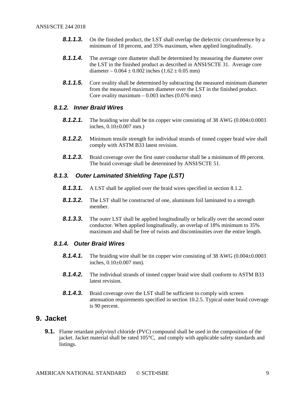- **8.1.1.3.** On the finished product, the LST shall overlap the dielectric circumference by a minimum of 18 percent, and 35% maximum, when applied longitudinally.
- **8.1.1.4.** The average core diameter shall be determined by measuring the diameter over the LST in the finished product as described in ANSI/SCTE 31. Average core diameter –  $0.064 \pm 0.002$  inches  $(1.62 \pm 0.05$  mm)
- **8.1.1.5.** Core ovality shall be determined by subtracting the measured minimum diameter from the measured maximum diameter over the LST in the finished product. Core ovality maximum –  $0.003$  inches  $(0.076$  mm)

## *8.1.2. Inner Braid Wires*

- **8.1.2.1.** The braiding wire shall be tin copper wire consisting of 38 AWG (0.004±0.0003 inches, 0.10±0.007 mm.)
- *8.1.2.2.* Minimum tensile strength for individual strands of tinned copper braid wire shall comply with ASTM B33 latest revision.
- **8.1.2.3.** Braid coverage over the first outer conductor shall be a minimum of 89 percent. The braid coverage shall be determined by ANSI/SCTE 51.

#### *8.1.3. Outer Laminated Shielding Tape (LST)*

- **8.1.3.1.** A LST shall be applied over the braid wires specified in section 8.1.2.
- **8.1.3.2.** The LST shall be constructed of one, aluminum foil laminated to a strength member.
- **8.1.3.3.** The outer LST shall be applied longitudinally or helically over the second outer conductor. When applied longitudinally, an overlap of 18% minimum to 35% maximum and shall be free of twists and discontinuities over the entire length.

#### *8.1.4. Outer Braid Wires*

- **8.1.4.1.** The braiding wire shall be tin copper wire consisting of 38 AWG (0.004±0.0003) inches, 0.10±0.007 mm).
- **8.1.4.2.** The individual strands of tinned copper braid wire shall conform to ASTM B33 latest revision.
- **8.1.4.3.** Braid coverage over the LST shall be sufficient to comply with screen attenuation requirements specified in section 10.2.5. Typical outer braid coverage is 90 percent.

## <span id="page-8-0"></span>**9. Jacket**

**9.1.** Flame retardant polyvinyl chloride (PVC) compound shall be used in the composition of the jacket. Jacket material shall be rated 105°C, and comply with applicable safety standards and listings.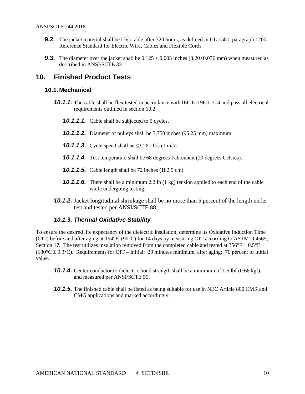- **9.2.** The jacket material shall be UV stable after 720 hours, as defined in UL 1581, paragraph 1200, Reference Standard for Electric Wire, Cables and Flexible Cords*.*
- **9.3.** The diameter over the jacket shall be  $0.125 \pm 0.003$  inches  $(3.20 \pm 0.076$  mm) when measured as described in ANSI/SCTE 33.

## <span id="page-9-0"></span>**10. Finished Product Tests**

#### **10.1. Mechanical**

- **10.1.1.** The cable shall be flex tested in accordance with IEC 61196-1-314 and pass all electrical requirements outlined in section 10.2.
	- *10.1.1.1.* Cable shall be subjected to 5 cycles.
	- *10.1.1.2.* Diameter of pulleys shall be 3.750 inches (95.25 mm) maximum.
	- **10.1.1.3.** Cycle speed shall be  $\leq 3.281$  ft/s (1 m/s).
	- *10.1.1.4.* Test temperature shall be 68 degrees Fahrenheit (20 degrees Celsius).
	- *10.1.1.5.* Cable length shall be 72 inches (182.9 cm).
	- **10.1.1.6.** There shall be a minimum 2.2 lb (1 kg) tension applied to each end of the cable while undergoing testing.
- *10.1.2.* Jacket longitudinal shrinkage shall be no more than 5 percent of the length under test and tested per ANSI/SCTE 88.

#### *10.1.3. Thermal Oxidative Stability*

To ensure the desired life expectancy of the dielectric insulation, determine its Oxidative Induction Time (OIT) before and after aging at 194°F (90°C) for 14 days by measuring OIT according to ASTM D 4565, Section 17. The test utilizes insulation removed from the completed cable and tested at  $356^{\circ}F \pm 0.5^{\circ}F$ (180°C  $\pm$  0.3°C). Requirements for OIT – Initial: 20 minutes minimum, after aging: 70 percent of initial value.

- **10.1.4.** Center conductor to dielectric bond strength shall be a minimum of 1.5 lbf (0.68 kgf) and measured per ANSI/SCTE 59.
- *10.1.5.* The finished cable shall be listed as being suitable for use in NEC Article 800 CMR and CMG applications and marked accordingly.